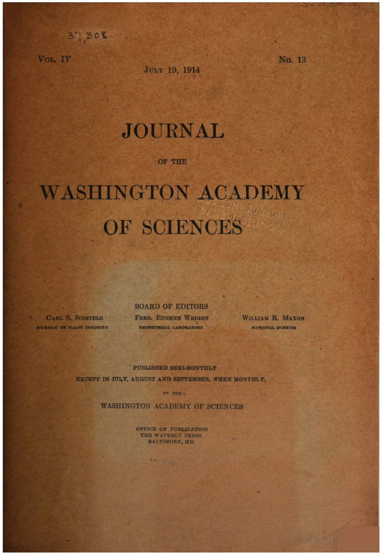VOL. IV

 $37,308$ 

JULY 19, 1914

No. 13

## **JOURNAL**

OF THE

## **WASHINGTON ACADEMY LOT LOT** OF SCIENCES

**BOARD OF EDITORS** 

CARL S. SCOFIELD BURBAU OF PLANT INDUSTRY

FRED. EUGENE WRIGHT GEOPHYSICAL LABORATORY

WILLIAM R. MAXON NATIONAL MUSEUM

PUBLISHED SEMI-MONTHLY EXCEPT IN JULY, AUGUST AND SEPTEMBER, WHEN MONTHLY,

BY THE

**WASHINGTON ACADEMY OF SCIENCES** 

OFFICE OF PUBLICATION THE WAVERLY PRESS BALTIMORE, MD.

**THE COMMON**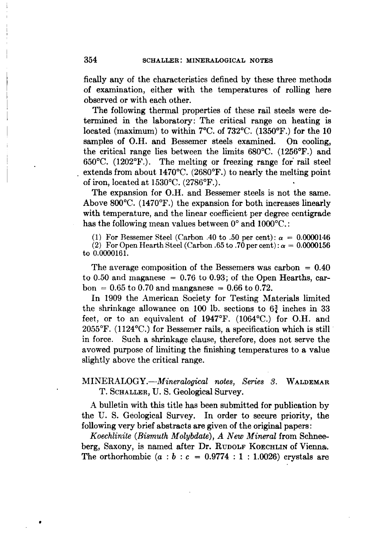fically any of the characteristics defined by these three methods of examination, either with the temperatures of rolling here observed or with each other.

The following thermal properties of these rail steels were determined in the laboratory: The critical range on heating is located (maximum) to within 7°C. of 732°C. (1350°F.) for the 10 samples of O.H. and Bessemer steels examined. On cooling, the critical range lies between the limits 680°C. (1256°F.) and 650°C. (1202°F.). The melting or freezing range for' rail steel extends from about 1470°C. (2680°F.) to nearly the melting point of iron, located at 1530°C. (2786°F.).

The expansion for O.H. and Bessemer steels is not the same. Above 800°C. (1470°F.) the expansion for both increases linearly with temperature, and the linear coefficient per degree centigrade has the following mean values between  $0^{\circ}$  and  $1000^{\circ}$ C.:

(1) For Bessemer Steel (Carbon .40 to .50 per cent):  $\alpha = 0.0000146$ (2) For Open Hearth Steel (Carbon .65 to .70 per cent):  $\alpha = 0.0000156$ to 0.ססOO161.

The average composition of the Bessemers was carbon  $= 0.40$ to 0.50 and maganese  $= 0.76$  to 0.93; of the Open Hearths, car $bon = 0.65$  to 0.70 and manganese = 0.66 to 0.72.

In 1909 the American Society for Testing Materials limited the shrinkage allowance on 100 lb. sections to  $6\frac{3}{4}$  inches in 33 feet, or to an equivalent of 1947°F. (1064°C.) for O.H. and  $2055^{\circ}$ F. (1124 $^{\circ}$ C.) for Bessemer rails, a specification which is still in force. Such a shrinkage clause, therefore, does not serve the avowed purpose of limiting the finishing temperatures to a value slightly above the critical range.

*MINERALOGY.-Mineralogical notes, Series* 3. WALDEMAR T. SCHALLER, U. S. Geological Survey.

A bulletin with this title has been submitted for publication by the U. S. Geological Survey. In order to secure priority, the following very brief abstracts are given of the original papers:

*Koechlinite (Bismuth Molybdate), A New Mineral* from Schneeberg, Saxony, is named after Dr. RUDOLF KOECHLIN of Vienna. The orthorhombic  $(a : b : c = 0.9774 : 1 : 1.0026)$  crystals are

•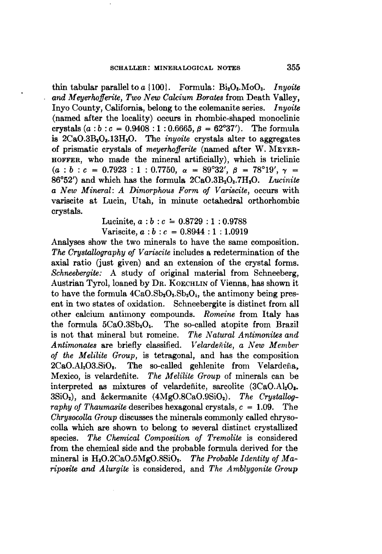thin tabular parallel to  $a \{100\}$ . Formula:  $Bi_2O_3$ . Mo $O_3$ . *Inyoite and Meyerhofferite, Two New Calcium Rorates* from Death Valley, Inyo County, California, belong to the colemanite series. *Inyoite* (named after the locality) occurs in rhombic-shaped monoclinic crystals  $(a : b : c = 0.9408 : 1 : 0.6665, \beta = 62^{\circ}37'$ . The formula is  $2CaO.3B<sub>2</sub>O<sub>3</sub> .13H<sub>2</sub>O$ . The *inyoite* crystals alter to aggregates of prismatic crystals of *meyerhofferite* (named after W. MEYER-HOFFER, who made the mineral artificially), which is triclinic  $(a : b : c = 0.7923 : 1 : 0.7750, \alpha = 89^{\circ}32', \beta = 78^{\circ}19', \gamma =$ 86°52') and which has the formula  $2CaO.3B_2O_3.7H_2O$ . *Lucinite a New Mineral: A Dimorphous Form of Variscite,* occurs with variscite at Lucin, Utah, in minute octahedral orthorhombic crystals.

> Lucinite,  $a : b : c = 0.8729 : 1 : 0.9788$ Variscite,  $a : b : c = 0.8944 : 1 : 1.0919$

Analyses show the two minerals to have the same composition. *The Crystallography of Variscite* includes a redetermination of the axial ratio (just given) and an extension of the crystal forms. *Schneebergite:* A study of original material from Schneeberg, Austrian Tyrol, loaned by DR. KOECHLIN of Vienna, has shown it to have the formula  $4CaO.Sb<sub>2</sub>O<sub>3</sub>.Sb<sub>2</sub>O<sub>4</sub>$ , the antimony being present in two states of oxidation. Schneebergite is distinct from all other calcium antimony compounds. *Romeine* from Italy has the formula  $5CaO.3Sb<sub>2</sub>O<sub>5</sub>$ . The so-called atopite from Brazil is not that mineral but romeine. *The Natural Antimonites and Antimonates* are briefly classified. *Velardenite, a New Member of the Melilite Group,* is tetragonal, and has the composition  $2CaO.AI<sub>2</sub>O3.SiO<sub>2</sub>$ . The so-called gehlenite from Velardeña, Mexico, is velardefiite. *The M elilite Group* of minerals can be interpreted as mixtures of velardefiite, sarcolite  $(3CaO.A I<sub>2</sub>O<sub>2</sub>)$ . 3SiO<sub>2</sub>), and åckermanite (4MgO.8CaO.9SiO<sub>2</sub>). The Crystallog*raphy of* Thaumasite describes hexagonal crystals,  $c = 1.09$ . The *Chrysocolla Group* discusses the minerals commonly called chrysocolla which are shown to belong to several distinct crystallized species. *The Chemical Composition of Tremolite* is considered from the chemical side and the probable formula derived for the mineral is H20.2CaO.5MgO.8Si02• *The Probable Identity of Mariposite* and *Alurgite* is considered, and *The Amblygonite Group*